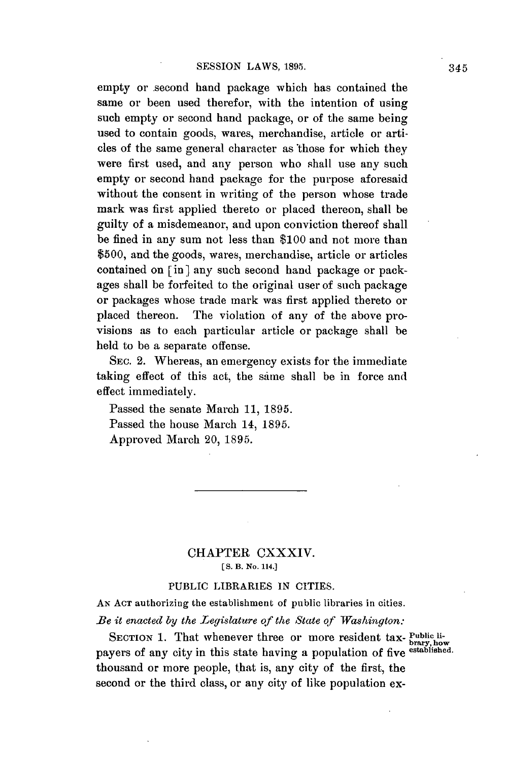empty or second hand package which has contained the same or been used therefor, with the intention of using such empty or second hand package, or of the same being used to contain goods, wares, merchandise, article or articles of the same general character as those for which they were first used, and any person who shall use any such empty or second hand package for the purpose aforesaid without the consent in writing of the person whose trade mark was first applied thereto or placed thereon, shall be guilty of a misdemeanor, and upon conviction thereof shall be fined in any sum not less than **\$100** and not more than **\$500,** and the goods, wares, merchandise, article or articles contained on [in] any such second hand package or packages shall be forfeited to the original user of such package or packages whose trade mark was first applied thereto or placed thereon. The violation of any of the above provisions as to each particular article or package shall be held to be a separate offense.

**SEC.** 2. Whereas, an emergency exists for the immediate taking effect of this act, the same shall be in force and effect immediately.

Passed the senate March **11, 1895.** Passed the house March 14, **1895.** Approved March 20, **1895.**

## CHAPTER CXXXIV. **[S. B. No. 114.]**

### **PUBLIC** LIBRARIES **IN CITIES.**

**AN ACT** authorizing the establishment of public libraries in cities.

*Be it enacted by the Legislature of the State of Washington:*

SECTION 1. That whenever three or more resident tax- **Public li-**<br>payers of any city in this state having a population of five <sup>established</sup> thousand or more people, that is, any city of the first, the second or the third class, or any city of like population ex-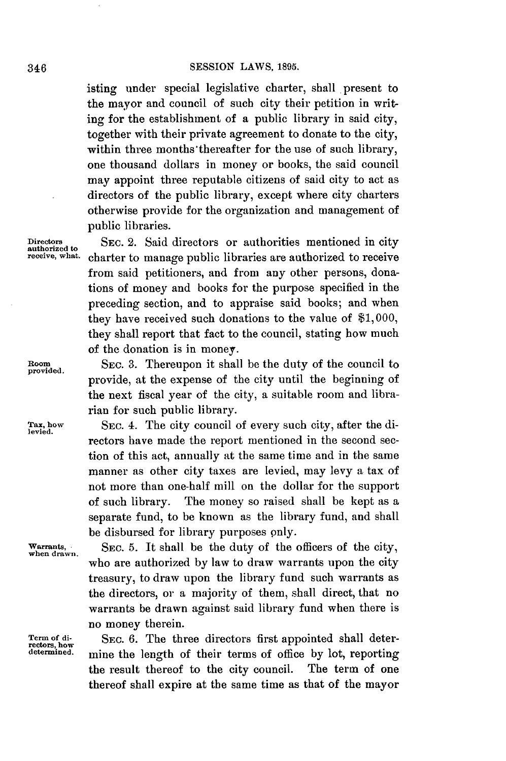isting under special legislative charter, shall present to the mayor and council of such city their petition in writing for the establishment of a public library in said city, together with their private agreement to donate to the city, within three months'thereafter for the use of such library, one thousand dollars in money or books, the said council may appoint three reputable citizens of said city to act as directors of the public library, except where city charters otherwise provide for the organization and management of public libraries.

Directors **SEC. 2.** Said directors or authorities mentioned in city authorized to receive, what charter to manage public libraries are authorized to receive charter to manage public libraries are authorized to receive from said petitioners, and from any other persons, donations of money and books for the purpose specified in the preceding section, and to appraise said books; and when they have received such donations to the value of **\$1,000,** they shall report that fact to the council, stating how much of the donation is in money.

Room SEC. 3. Thereupon it shall be the duty of the council to provide, at the expense of the city until the beginning of the next fiscal year of the city, a suitable room and librarian for such public library.

Tax, how SEC. 4. The city council of every such city, after the directors have made the report mentioned in the second section of this act, annually at the same time and in the same manner as other city taxes are levied, may levy a tax of not more than one-half mill on the dollar for the support of such library. The money so raised shall be kept as a separate fund, to be known as the library fund, and shall be disbursed for library purposes only.

Warrants, SEC. 5. It shall be the duty of the officers of the city, who are authorized **by** law to draw warrants upon the city treasury, to draw upon the library fund such warrants as the directors, or a majority of them, shall direct, that no warrants be drawn against said library fund when there is no money therein.

**Term of di-** SEC. **6.** The three directors first appointed shall determine the length of their terms of office by lot, reporting the result thereof to the city council. The term of one thereof shall expire at the same time as that of the mayor

**provided.**

**levied.**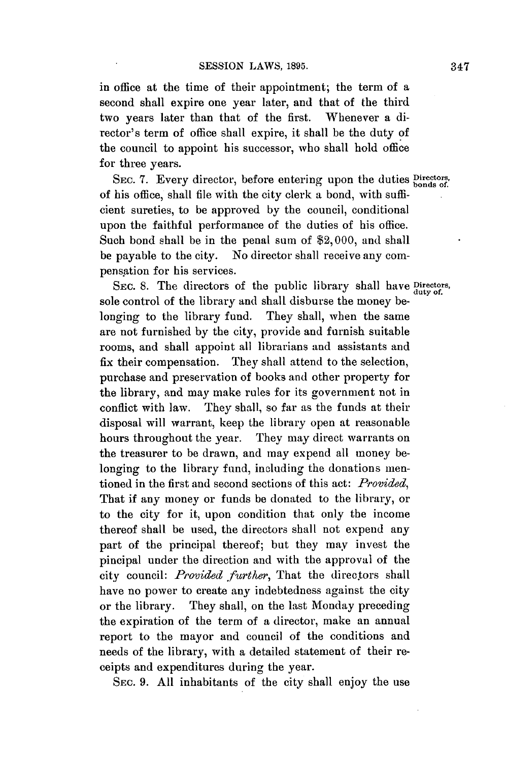in office at the time of their appointment; the term of a second shall expire one year later, and that of the third two years later than that of the first. Whenever a director's term of office shall expire, it shall be the duty of the council to appoint his successor, who shall hold office for three years.

SEC. 7. Every director, before entering upon the duties **Directors**, of his office, shall file with the city clerk a bond, with **suffi**cient sureties, to be approved **by** the council, conditional upon the faithful performance of the duties of his office. Such bond shall be in the penal sum of \$2,000, and shall be payable to the city. No director shall receive any compensation for his services.

SEc. **8.** The directors **of** the public library shall have **Directors,** sole control of the library and shall disburse the money belonging to the library fund. They shall, when the same are not furnished **by** the city, provide and furnish suitable rooms, and shall appoint all librarians and assistants and fix their compensation. They shall attend to the selection, purchase and preservation of books and other property for the library, and may make rules for its government not in conflict with law. They shall, so far as the funds at their disposal will warrant, keep the library open at reasonable hours throughout the year. They may direct warrants on the treasurer to be drawn, and may expend all money belonging to the library fund, including the donations mentioned in the first and second sections of this act: *Provided,* That if any money or funds be donated to the library, or to the city for it, upon condition that only the income thereof shall be used, the directors shall not expend any part of the principal thereof; but they may invest the pincipal under the direction and with the approval of the city council: *Provided further,* That the directors shall have no power to create any indebtedness against the city or the library. They shall, on the last Monday preceding the expiration of the term of a director, make an annual report to the mayor and council of the conditions and needs of the library, with a detailed statement of their receipts and expenditures during the year.

**SEC. 9. All** inhabitants of the city shall enjoy the use